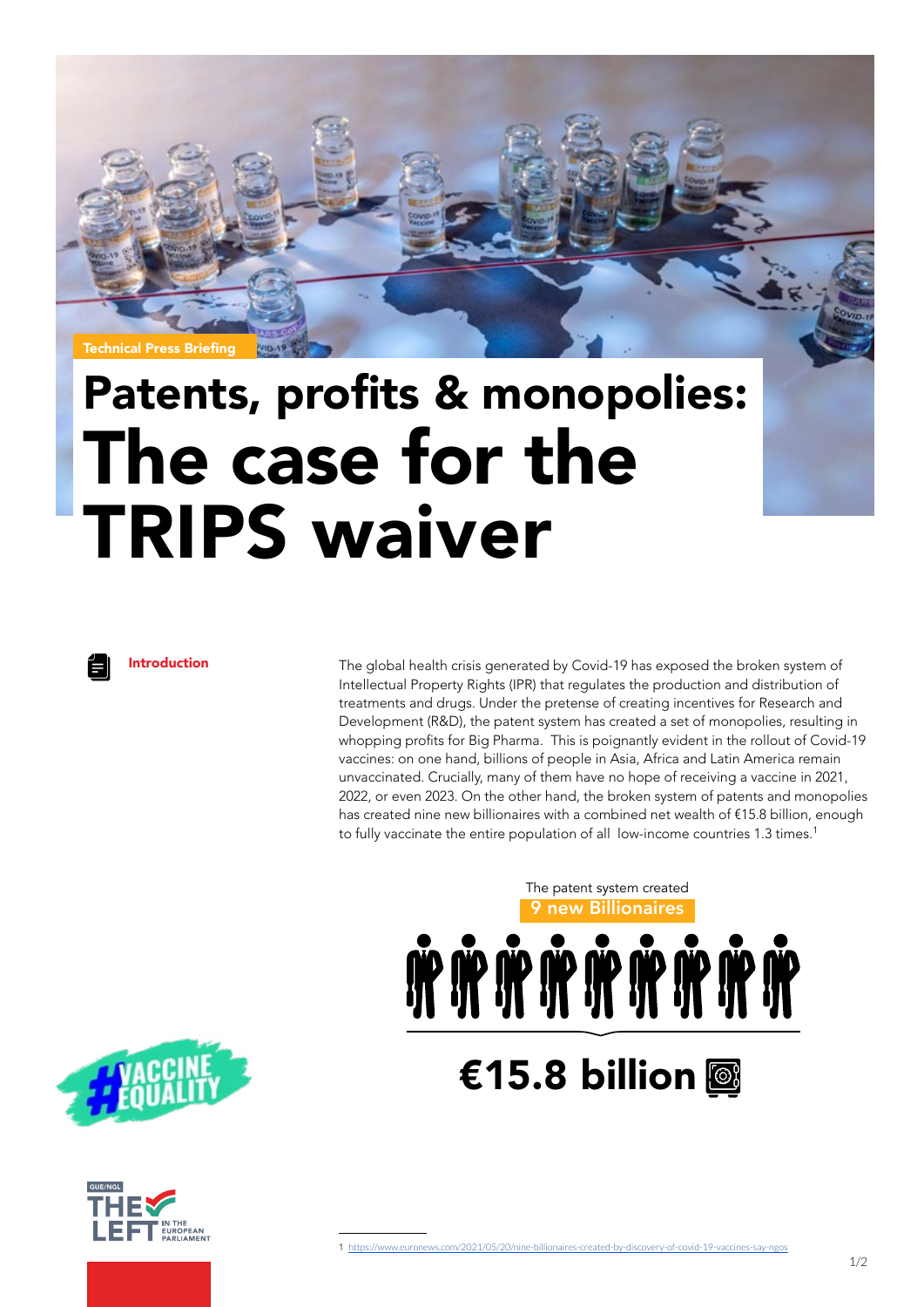

## Patents, profits & monopolies: The case for the TRIPS waiver

Introduction The global health crisis generated by Covid-19 has exposed the broken system of Intellectual Property Rights (IPR) that regulates the production and distribution of treatments and drugs. Under the pretense of creating incentives for Research and Development (R&D), the patent system has created a set of monopolies, resulting in whopping profits for Big Pharma. This is poignantly evident in the rollout of Covid-19 vaccines: on one hand, billions of people in Asia, Africa and Latin America remain unvaccinated. Crucially, many of them have no hope of receiving a vaccine in 2021, 2022, or even 2023. On the other hand, the broken system of patents and monopolies has created nine new billionaires with a combined net wealth of €15.8 billion, enough to fully vaccinate the entire population of all low-income countries 1.3 times.<sup>1</sup>

> 9 new Billionaires The patent system created



€15.8 billion **®** 



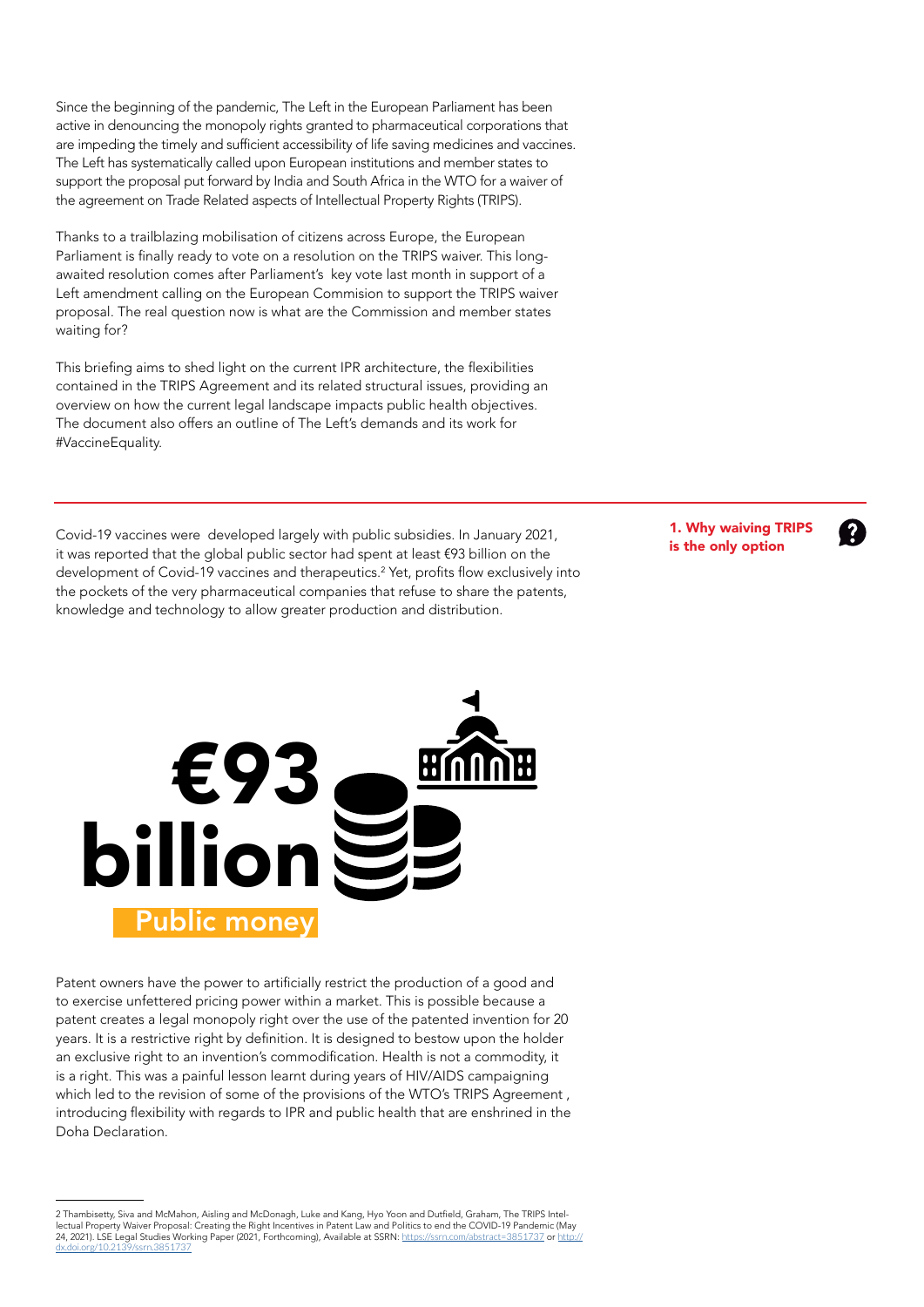Since the beginning of the pandemic, The Left in the European Parliament has been active in denouncing the monopoly rights granted to pharmaceutical corporations that are impeding the timely and sufficient accessibility of life saving medicines and vaccines. The Left has systematically called upon European institutions and member states to support the proposal put forward by India and South Africa in the WTO for a waiver of the agreement on Trade Related aspects of Intellectual Property Rights (TRIPS).

Thanks to a trailblazing mobilisation of citizens across Europe, the European Parliament is finally ready to vote on a resolution on the TRIPS waiver. This longawaited resolution comes after Parliament's key vote last month in support of a Left amendment calling on the European Commision to support the TRIPS waiver proposal. The real question now is what are the Commission and member states waiting for?

This briefing aims to shed light on the current IPR architecture, the flexibilities contained in the TRIPS Agreement and its related structural issues, providing an overview on how the current legal landscape impacts public health objectives. The document also offers an outline of The Left's demands and its work for #VaccineEquality.

Covid-19 vaccines were developed largely with public subsidies. In January 2021, it was reported that the global public sector had spent at least €93 billion on the development of Covid-19 vaccines and therapeutics.<sup>2</sup> Yet, profits flow exclusively into the pockets of the very pharmaceutical companies that refuse to share the patents, knowledge and technology to allow greater production and distribution.

1. Why waiving TRIPS is the only option

 $\mathbf{P}$ 



Patent owners have the power to artificially restrict the production of a good and to exercise unfettered pricing power within a market. This is possible because a patent creates a legal monopoly right over the use of the patented invention for 20 years. It is a restrictive right by definition. It is designed to bestow upon the holder an exclusive right to an invention's commodification. Health is not a commodity, it is a right. This was a painful lesson learnt during years of HIV/AIDS campaigning which led to the revision of some of the provisions of the WTO's TRIPS Agreement, introducing flexibility with regards to IPR and public health that are enshrined in the Doha Declaration.

<sup>2</sup> Thambisetty, Siva and McMahon, Aisling and McDonagh, Luke and Kang, Hyo Yoon and Dutfield, Graham, The TRIPS Intellectual Property Waiver Proposal: Creating the Right Incentives in Patent Law and Politics to end the COVID-19 Pandemic (May<br>24, 2021). LSE Legal Studies Working Paper (2021, Forthcoming), Available at SSRN: <u>https://ssrn.</u> [dx.doi.org/10.2139/ssrn.3851737](https://dx.doi.org/10.2139/ssrn.3851737)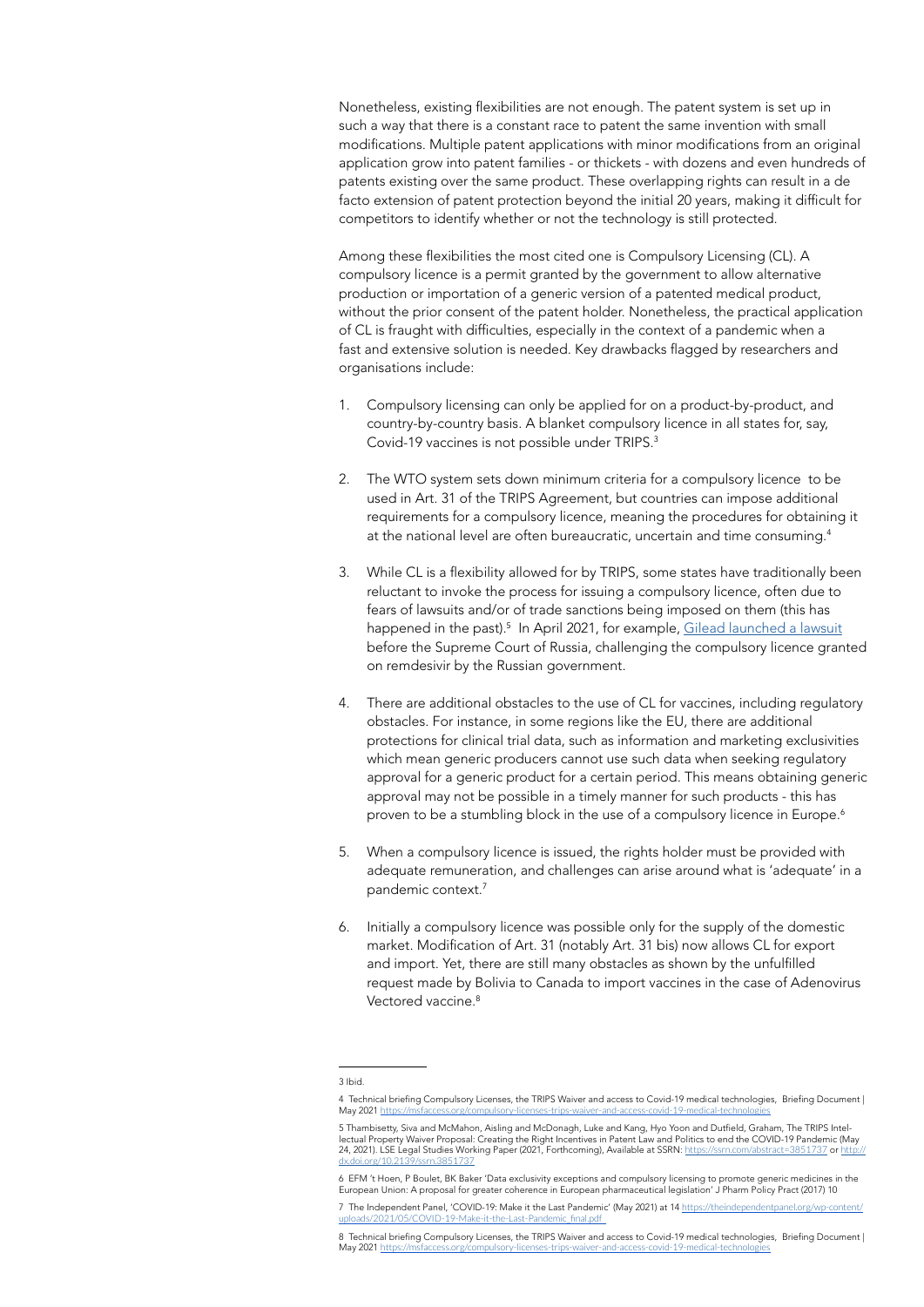Nonetheless, existing flexibilities are not enough. The patent system is set up in such a way that there is a constant race to patent the same invention with small modifications. Multiple patent applications with minor modifications from an original application grow into patent families - or thickets - with dozens and even hundreds of patents existing over the same product. These overlapping rights can result in a de facto extension of patent protection beyond the initial 20 years, making it difficult for competitors to identify whether or not the technology is still protected.

Among these flexibilities the most cited one is Compulsory Licensing (CL). A compulsory licence is a permit granted by the government to allow alternative production or importation of a generic version of a patented medical product, without the prior consent of the patent holder. Nonetheless, the practical application of CL is fraught with difficulties, especially in the context of a pandemic when a fast and extensive solution is needed. Key drawbacks flagged by researchers and organisations include:

- 1. Compulsory licensing can only be applied for on a product-by-product, and country-by-country basis. A blanket compulsory licence in all states for, say, Covid-19 vaccines is not possible under TRIPS.<sup>3</sup>
- 2. The WTO system sets down minimum criteria for a compulsory licence to be used in Art. 31 of the TRIPS Agreement, but countries can impose additional requirements for a compulsory licence, meaning the procedures for obtaining it at the national level are often bureaucratic, uncertain and time consuming.<sup>4</sup>
- 3. While CL is a flexibility allowed for by TRIPS, some states have traditionally been reluctant to invoke the process for issuing a compulsory licence, often due to fears of lawsuits and/or of trade sanctions being imposed on them (this has happened in the past).<sup>5</sup> In April 2021, for example, [Gilead launched a lawsuit](https://www.reuters.com/business/healthcare-pharmaceuticals/russian-supreme-court-rejects-gilead-lawsuit-over-covid-19-drug-2021-05-27/) before the Supreme Court of Russia, challenging the compulsory licence granted on remdesivir by the Russian government.
- 4. There are additional obstacles to the use of CL for vaccines, including regulatory obstacles. For instance, in some regions like the EU, there are additional protections for clinical trial data, such as information and marketing exclusivities which mean generic producers cannot use such data when seeking regulatory approval for a generic product for a certain period. This means obtaining generic approval may not be possible in a timely manner for such products - this has proven to be a stumbling block in the use of a compulsory licence in Europe.<sup>6</sup>
- 5. When a compulsory licence is issued, the rights holder must be provided with adequate remuneration, and challenges can arise around what is 'adequate' in a pandemic context.<sup>7</sup>
- 6. Initially a compulsory licence was possible only for the supply of the domestic market. Modification of Art. 31 (notably Art. 31 bis) now allows CL for export and import. Yet, there are still many obstacles as shown by the unfulfilled request made by Bolivia to Canada to import vaccines in the case of Adenovirus Vectored vaccine.<sup>8</sup>

<sup>3</sup> Ibid.

<sup>4</sup> Technical briefing Compulsory Licenses, the TRIPS Waiver and access to Covid-19 medical technologies, Briefing Document |<br>May 2021 https://msfaccess.org/compulsory-licenses-trips-waiver-and-access-covid-19-medical-techno access.org/compulsory-licenses-trips-waiver-and-access-covid-19-medical-technologie

<sup>5</sup> Thambisetty, Siva and McMahon, Aisling and McDonagh, Luke and Kang, Hyo Yoon and Dutfield, Graham, The TRIPS Intellectual Property Waiver Proposal: Creating the Right Incentives in Patent Law and Politics to end the COVID-19 Pandemic (May<br>24, 2021). LSE Legal Studies Working Paper (2021, Forthcoming), Available at SSRN: <u>https://ssrn.</u> [dx.doi.org/10.2139/ssrn.3851737](https://dx.doi.org/10.2139/ssrn.3851737)

<sup>6</sup> EFM 't Hoen, P Boulet, BK Baker 'Data exclusivity exceptions and compulsory licensing to promote generic medicines in the European Union: A proposal for greater coherence in European pharmaceutical legislation' J Pharm Policy Pract (2017) 10 7 The Independent Panel, 'COVID-19: Make it the Last Pandemic' (May 2021) at 14 https://theindependentp

[uploads/2021/05/COVID-19-Make-it-the-Last-Pandemic\\_final.pdf](https://theindependentpanel.org/wp-content/uploads/2021/05/COVID-19-Make-it-the-Last-) 

<sup>8</sup> Technical briefing Compulsory Licenses, the TRIPS Waiver and access to Covid-19 medical technologies, Briefing Document |<br>May 2021 https://msfaccess.org/compulsory-licenses-trips-waiver-and-access-covid-19-medical-techno May 2021 <https://msfaccess.org/compulsory-licenses-trips-waiver-and-access-covid-19-medical-technologies>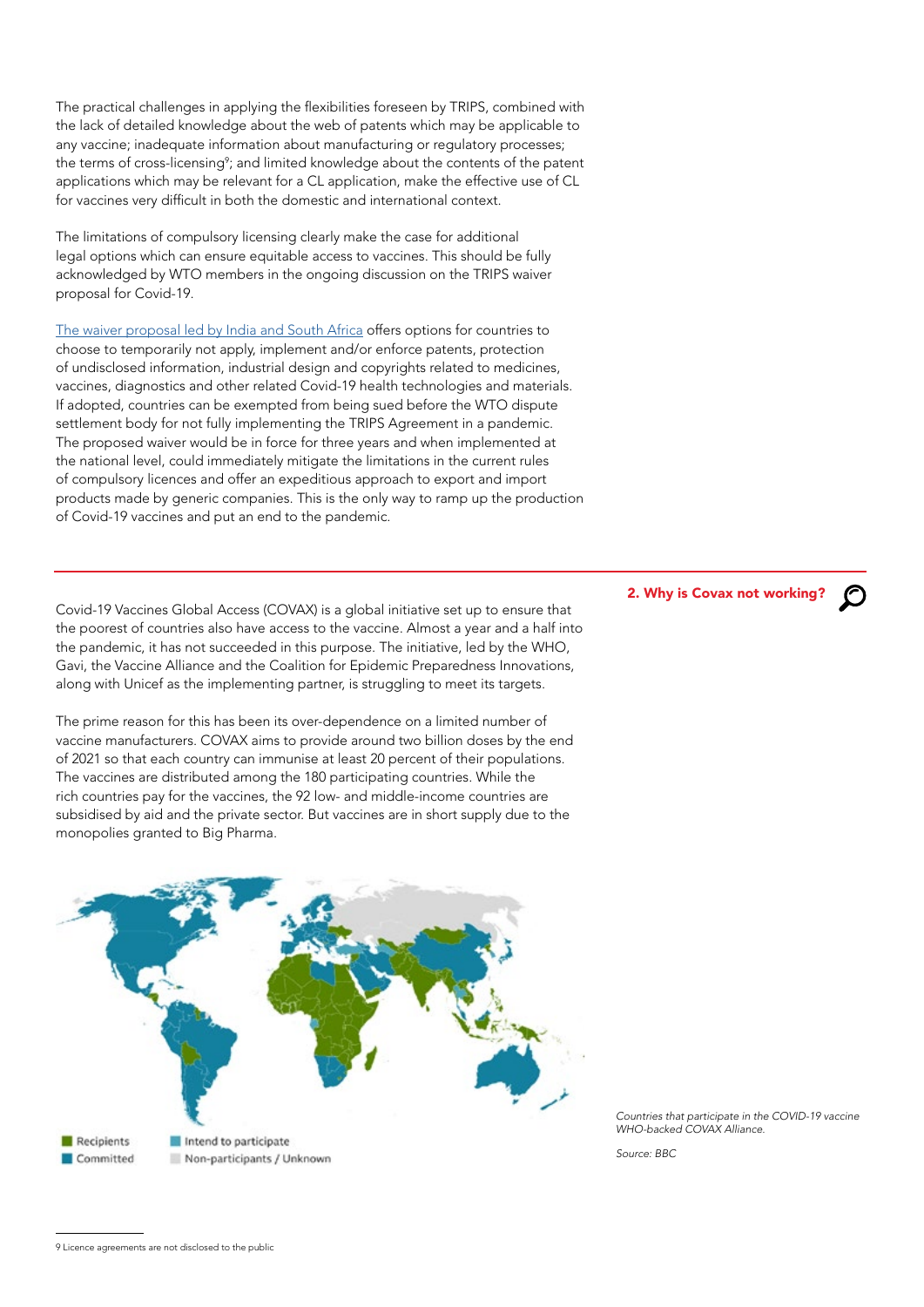The practical challenges in applying the flexibilities foreseen by TRIPS, combined with the lack of detailed knowledge about the web of patents which may be applicable to any vaccine; inadequate information about manufacturing or regulatory processes; the terms of cross-licensing<sup>9</sup>; and limited knowledge about the contents of the patent applications which may be relevant for a CL application, make the effective use of CL for vaccines very difficult in both the domestic and international context.

The limitations of compulsory licensing clearly make the case for additional legal options which can ensure equitable access to vaccines. This should be fully acknowledged by WTO members in the ongoing discussion on the TRIPS waiver proposal for Covid-19.

[The waiver proposal led by India and South Africa](https://docs.wto.org/dol2fe/Pages/SS/directdoc.aspx?filename=q:/IP/C/W669R1.pdf&Open=True) offers options for countries to choose to temporarily not apply, implement and/or enforce patents, protection of undisclosed information, industrial design and copyrights related to medicines, vaccines, diagnostics and other related Covid-19 health technologies and materials. If adopted, countries can be exempted from being sued before the WTO dispute settlement body for not fully implementing the TRIPS Agreement in a pandemic. The proposed waiver would be in force for three years and when implemented at the national level, could immediately mitigate the limitations in the current rules of compulsory licences and offer an expeditious approach to export and import products made by generic companies. This is the only way to ramp up the production of Covid-19 vaccines and put an end to the pandemic.

Covid-19 Vaccines Global Access (COVAX) is a global initiative set up to ensure that the poorest of countries also have access to the vaccine. Almost a year and a half into the pandemic, it has not succeeded in this purpose. The initiative, led by the WHO, Gavi, the Vaccine Alliance and the Coalition for Epidemic Preparedness Innovations, along with Unicef as the implementing partner, is struggling to meet its targets.

The prime reason for this has been its over-dependence on a limited number of vaccine manufacturers. COVAX aims to provide around two billion doses by the end of 2021 so that each country can immunise at least 20 percent of their populations. The vaccines are distributed among the 180 participating countries. While the rich countries pay for the vaccines, the 92 low- and middle-income countries are subsidised by aid and the private sector. But vaccines are in short supply due to the monopolies granted to Big Pharma.



2. Why is Covax not working?

*Countries that participate in the COVID-19 vaccine WHO-backed COVAX Alliance.*

*Source: BBC*